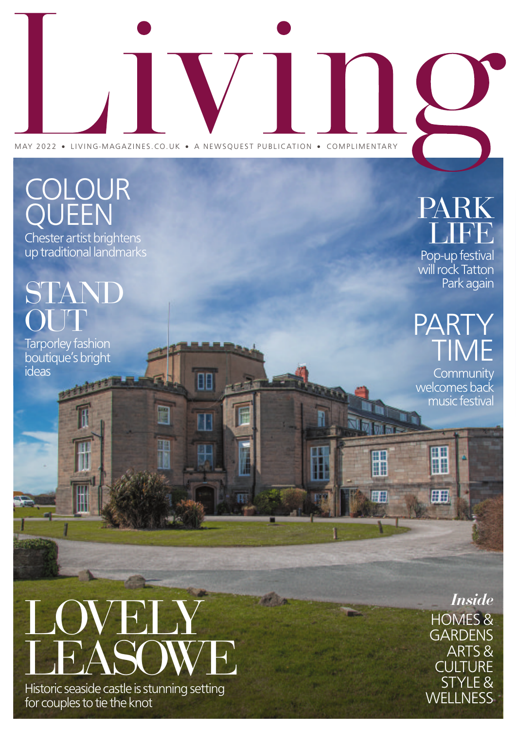# MAY 2022 · LIVING-MAGAZINES.CO.UK · A NEWSQUEST PUBLICATION · COMPLIMENTARY

丽

## COLOUR QUEEN PARK

Chester artist brightens up traditional landmarks

## **TAND** OUT

Tarporley fashion boutique's bright ideas

# LIFE

Pop-up festival will rock Tatton Park again

### $\mathsf{P}\mathsf{\Delta}$ TIVI

**Community** welcomes back music festival

冊

m

冊

H

用

# LOVELY LEASOWE

Historic seaside castle is stunning setting for couples to tie the knot

HOMES& **GARDENS** ARTS& **CULTURE** STYLE& **WELLNESS** *Inside*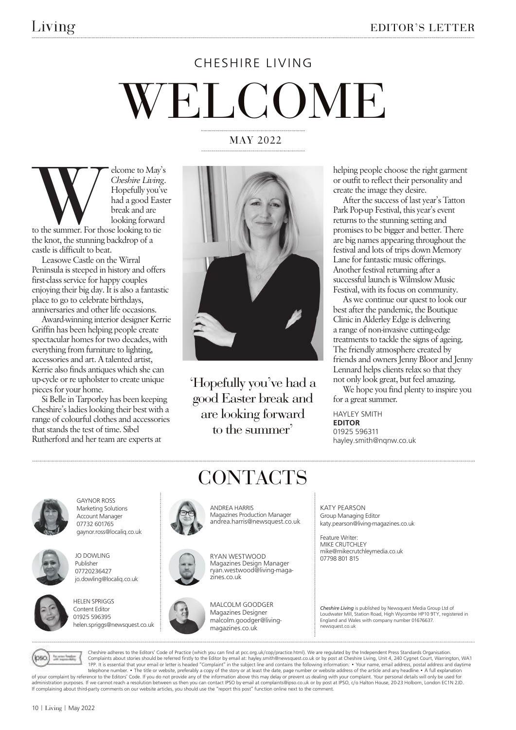# WELCOME CHESHIRE LIVING

#### MAY 2022



elcome to May's *Cheshire Living*. Hopefully you've had a good Easter break and are looking forward

to the summer. For those looking to tie castle is difficult to beat.

Leasowe Castle on the Wirral Peninsula is steeped in history and offers first-class service for happy couples enjoying their big day. It is also a fantastic place to go to celebrate birthdays, anniversaries and other life occasions.

Award-winning interior designer Kerrie Griffin has been helping people create spectacular homes for two decades, with everything from furniture to lighting, accessories and art. A talented artist, Kerrie also finds antiques which she can up-cycle or re upholster to create unique pieces for your home.

Si Belle in Tarporley has been keeping Cheshire's ladies looking their best with a range of colourful clothes and accessories that stands the test of time. Sibel Rutherford and her team are experts at



'Hopefully you've had a good Easter break and are looking forward to the summer'

CONTACTS

helping people choose the right garment or outfit to reflect their personality and create the image they desire.

After the success of last year's Tatton Park Pop-up Festival, this year's event returns to the stunning setting and promises to be bigger and better. There are big names appearing throughout the festival and lots of trips down Memory Lane for fantastic music offerings. Another festival returning after a successful launch is Wilmslow Music Festival, with its focus on community.

As we continue our quest to look our best after the pandemic, the Boutique Clinic in Alderley Edge is delivering a range of non-invasive cutting-edge treatments to tackle the signs of ageing. The friendly atmosphere created by friends and owners Jenny Bloor and Jenny Lennard helps clients relax so that they not only look great, but feel amazing.

We hope you find plenty to inspire you for a great summer.

HAYLEY SMITH EDITOR 01925 596311 hayley.smith@nqnw.co.uk



GAYNOR ROSS Marketing Solutions Account Manager 07732 601765 gaynor.ross@localiq.co.uk



JO DOWLING Publisher 07720236427



jo.dowling@localiq.co.uk



ANDREA HARRIS Magazines Production Manager andrea.harris@newsquest.co.uk

> RYAN WESTWOOD Magazines Design Manager



ryan.westwood@living-magazines.co.uk

MALCOLM GOODGER Magazines Designer malcolm.goodger@livingmagazines.co.uk

KATY PEARSON Group Managing Editor katy.pearson@living-magazines.co.uk

Feature Writer: MIKE CRUTCHLEY mike@mikecrutchleymedia.co.uk 07798 801 815

*Cheshire Living* is published by Newsquest Media Group Ltd of Loudwater Mill, Station Road, High Wycombe HP10 9TY, registered in England and Wales with company number 01676637. newsquest.co.uk



Cheshire adheres to the Editors' Code of Practice (which you can find at pcc.org.uk/cop/practice.html). We are regulated by the Independent Press Standards Organisation. Complaints about stories should be referred firstly to the Editor by email at: hayley.smith@newsquest.co.uk or by post at Cheshire Living, Unit 4, 240 Cygnet Court, Warrington, WA1<br>1PP. It is essential that your email or l telephone number. • The title or website, preferably a copy of the story or at least the date, page number or website address of the article and any headline. • A full explanation وto your complaint by reference to the Edi administration purposes. If we cannot reach a resolution between us then you can contact IPSO by email at complaints@ipso.co.uk or by post at IPSO, c/o Halton House, 20-23 Holborn, London EC1N 2JD.<br>If complaining about thi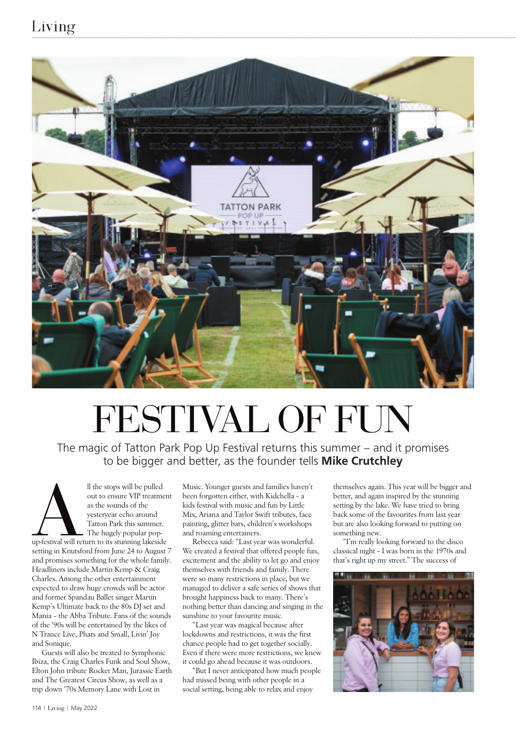#### Living



# FESTIVAL OF FUN

The magic of Tatton Park Pop Up Festival returns this summer – and it promises to be bigger and better, as the founder tells **Mike Crutchley** 

Aup-festival will ret<br>setting in Knutsfo ll the stops will be pulled out to ensure VIP treatment as the sounds of the yesteryear echo around Tatton Park this summer. The hugely popular popup-festival will return to its stunning lakeside setting in Knutsford from June 24 to August 7 and promises something for the whole family. Headliners include Martin Kemp & Craig Charles. Among the other entertainment expected to draw huge crowds will be actor and former Spandau Ballet singer Martin Kemp's Ultimate back to the 80s DJ set and Mania – the Abba Tribute. Fans of the sounds of the '90s will be entertained by the likes of N Trance Live, Phats and Small, Livin' Joy and Sonique.

Guests will also be treated to Symphonic Ibiza, the Craig Charles Funk and Soul Show, Elton John tribute Rocket Man, Jurassic Earth and The Greatest Circus Show, as well as a trip down '70s Memory Lane with Lost in

Music. Younger guests and families haven't been forgotten either, with Kidchella – a kids festival with music and fun by Little Mix, Ariana and Taylor Swift tributes, face painting, glitter bars, children's workshops and roaming entertainers.

Rebecca said: "Last year was wonderful. We created a festival that offered people fun, excitement and the ability to let go and enjoy themselves with friends and family. There were so many restrictions in place, but we managed to deliver a safe series of shows that brought happiness back to many. There's nothing better than dancing and singing in the sunshine to your favourite music.

"Last year was magical because after lockdowns and restrictions, it was the first chance people had to get together socially. Even if there were more restrictions, we knew it could go ahead because it was outdoors.

"But I never anticipated how much people had missed being with other people in a social setting, being able to relax and enjoy

themselves again. This year will be bigger and better, and again inspired by the stunning setting by the lake. We have tried to bring back some of the favourites from last year but are also looking forward to putting on something new.

"I'm really looking forward to the disco classical night – I was born in the 1970s and that's right up my street." The success of